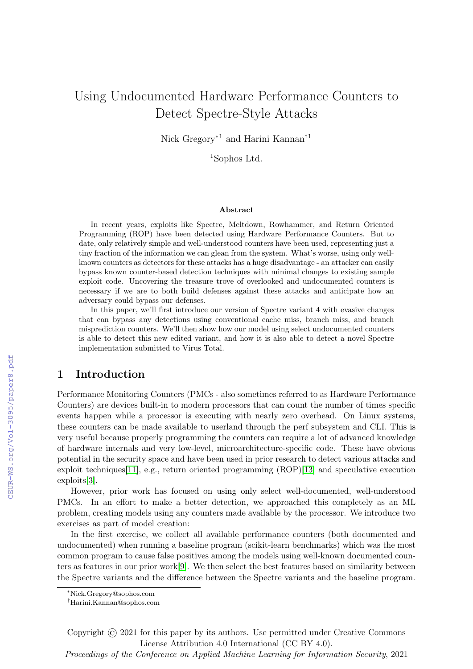# Using Undocumented Hardware Performance Counters to Detect Spectre-Style Attacks

Nick Gregory∗1 and Harini Kannan†1

<sup>1</sup>Sophos Ltd.

#### Abstract

In recent years, exploits like Spectre, Meltdown, Rowhammer, and Return Oriented Programming (ROP) have been detected using Hardware Performance Counters. But to date, only relatively simple and well-understood counters have been used, representing just a tiny fraction of the information we can glean from the system. What's worse, using only wellknown counters as detectors for these attacks has a huge disadvantage - an attacker can easily bypass known counter-based detection techniques with minimal changes to existing sample exploit code. Uncovering the treasure trove of overlooked and undocumented counters is necessary if we are to both build defenses against these attacks and anticipate how an adversary could bypass our defenses.

In this paper, we'll first introduce our version of Spectre variant 4 with evasive changes that can bypass any detections using conventional cache miss, branch miss, and branch misprediction counters. We'll then show how our model using select undocumented counters is able to detect this new edited variant, and how it is also able to detect a novel Spectre implementation submitted to Virus Total.

# 1 Introduction

Performance Monitoring Counters (PMCs - also sometimes referred to as Hardware Performance Counters) are devices built-in to modern processors that can count the number of times specific events happen while a processor is executing with nearly zero overhead. On Linux systems, these counters can be made available to userland through the perf subsystem and CLI. This is very useful because properly programming the counters can require a lot of advanced knowledge of hardware internals and very low-level, microarchitecture-specific code. These have obvious potential in the security space and have been used in prior research to detect various attacks and exploit techniques[\[11\]](#page--1-0), e.g., return oriented programming (ROP)[\[13\]](#page--1-1) and speculative execution exploits[\[3\]](#page--1-2).

However, prior work has focused on using only select well-documented, well-understood PMCs. In an effort to make a better detection, we approached this completely as an ML problem, creating models using any counters made available by the processor. We introduce two exercises as part of model creation:

In the first exercise, we collect all available performance counters (both documented and undocumented) when running a baseline program (scikit-learn benchmarks) which was the most common program to cause false positives among the models using well-known documented counters as features in our prior work[\[9\]](#page--1-3). We then select the best features based on similarity between the Spectre variants and the difference between the Spectre variants and the baseline program.

Copyright © 2021 for this paper by its authors. Use permitted under Creative Commons License Attribution 4.0 International (CC BY 4.0).

Proceedings of the Conference on Applied Machine Learning for Information Security, 2021

<sup>∗</sup>Nick.Gregory@sophos.com

<sup>†</sup>Harini.Kannan@sophos.com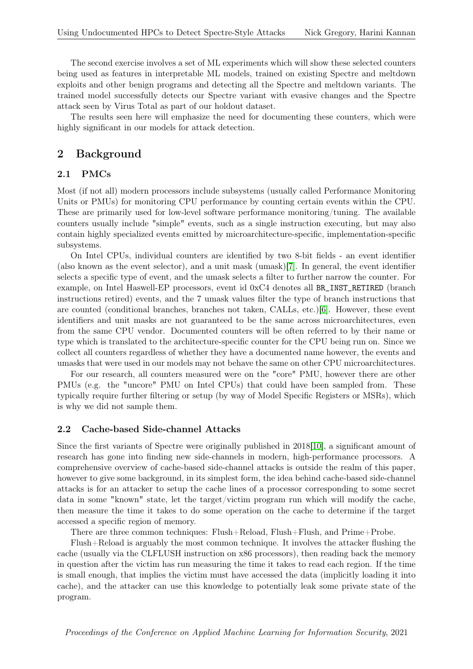The second exercise involves a set of ML experiments which will show these selected counters being used as features in interpretable ML models, trained on existing Spectre and meltdown exploits and other benign programs and detecting all the Spectre and meltdown variants. The trained model successfully detects our Spectre variant with evasive changes and the Spectre attack seen by Virus Total as part of our holdout dataset.

The results seen here will emphasize the need for documenting these counters, which were highly significant in our models for attack detection.

#### 2 Background

#### 2.1 PMCs

Most (if not all) modern processors include subsystems (usually called Performance Monitoring Units or PMUs) for monitoring CPU performance by counting certain events within the CPU. These are primarily used for low-level software performance monitoring/tuning. The available counters usually include "simple" events, such as a single instruction executing, but may also contain highly specialized events emitted by microarchitecture-specific, implementation-specific subsystems.

On Intel CPUs, individual counters are identified by two 8-bit fields - an event identifier (also known as the event selector), and a unit mask (umask)[\[7\]](#page-7-0). In general, the event identifier selects a specific type of event, and the umask selects a filter to further narrow the counter. For example, on Intel Haswell-EP processors, event id 0xC4 denotes all BR\_INST\_RETIRED (branch instructions retired) events, and the 7 umask values filter the type of branch instructions that are counted (conditional branches, branches not taken, CALLs, etc.)[\[6\]](#page-7-1). However, these event identifiers and unit masks are not guaranteed to be the same across microarchitectures, even from the same CPU vendor. Documented counters will be often referred to by their name or type which is translated to the architecture-specific counter for the CPU being run on. Since we collect all counters regardless of whether they have a documented name however, the events and umasks that were used in our models may not behave the same on other CPU microarchitectures.

For our research, all counters measured were on the "core" PMU, however there are other PMUs (e.g. the "uncore" PMU on Intel CPUs) that could have been sampled from. These typically require further filtering or setup (by way of Model Specific Registers or MSRs), which is why we did not sample them.

#### 2.2 Cache-based Side-channel Attacks

Since the first variants of Spectre were originally published in 2018[\[10\]](#page-8-0), a significant amount of research has gone into finding new side-channels in modern, high-performance processors. A comprehensive overview of cache-based side-channel attacks is outside the realm of this paper, however to give some background, in its simplest form, the idea behind cache-based side-channel attacks is for an attacker to setup the cache lines of a processor corresponding to some secret data in some "known" state, let the target/victim program run which will modify the cache, then measure the time it takes to do some operation on the cache to determine if the target accessed a specific region of memory.

There are three common techniques: Flush+Reload, Flush+Flush, and Prime+Probe.

Flush+Reload is arguably the most common technique. It involves the attacker flushing the cache (usually via the CLFLUSH instruction on x86 processors), then reading back the memory in question after the victim has run measuring the time it takes to read each region. If the time is small enough, that implies the victim must have accessed the data (implicitly loading it into cache), and the attacker can use this knowledge to potentially leak some private state of the program.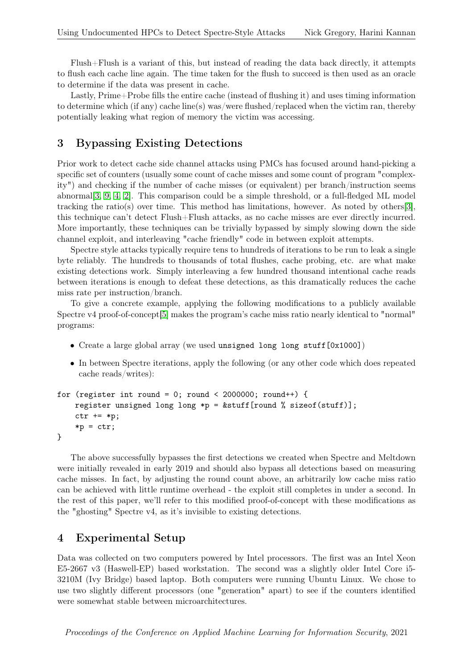Flush+Flush is a variant of this, but instead of reading the data back directly, it attempts to flush each cache line again. The time taken for the flush to succeed is then used as an oracle to determine if the data was present in cache.

Lastly, Prime+Probe fills the entire cache (instead of flushing it) and uses timing information to determine which (if any) cache line(s) was/were flushed/replaced when the victim ran, thereby potentially leaking what region of memory the victim was accessing.

# 3 Bypassing Existing Detections

Prior work to detect cache side channel attacks using PMCs has focused around hand-picking a specific set of counters (usually some count of cache misses and some count of program "complexity") and checking if the number of cache misses (or equivalent) per branch/instruction seems abnormal[\[3,](#page-7-2) [9,](#page-8-1) [4,](#page-7-3) [2\]](#page-7-4). This comparison could be a simple threshold, or a full-fledged ML model tracking the ratio(s) over time. This method has limitations, however. As noted by others[\[3\]](#page-7-2), this technique can't detect Flush+Flush attacks, as no cache misses are ever directly incurred. More importantly, these techniques can be trivially bypassed by simply slowing down the side channel exploit, and interleaving "cache friendly" code in between exploit attempts.

Spectre style attacks typically require tens to hundreds of iterations to be run to leak a single byte reliably. The hundreds to thousands of total flushes, cache probing, etc. are what make existing detections work. Simply interleaving a few hundred thousand intentional cache reads between iterations is enough to defeat these detections, as this dramatically reduces the cache miss rate per instruction/branch.

To give a concrete example, applying the following modifications to a publicly available Spectre v4 proof-of-concept[\[5\]](#page-7-5) makes the program's cache miss ratio nearly identical to "normal" programs:

- Create a large global array (we used unsigned long long stuff [0x1000])
- In between Spectre iterations, apply the following (or any other code which does repeated cache reads/writes):

```
for (register int round = 0; round < 2000000; round++) {
register unsigned long long *p = &stuff[round % sizeof(stuff)];
ctr += *p;
*p = ctr;}
```
The above successfully bypasses the first detections we created when Spectre and Meltdown were initially revealed in early 2019 and should also bypass all detections based on measuring cache misses. In fact, by adjusting the round count above, an arbitrarily low cache miss ratio can be achieved with little runtime overhead - the exploit still completes in under a second. In the rest of this paper, we'll refer to this modified proof-of-concept with these modifications as the "ghosting" Spectre v4, as it's invisible to existing detections.

# <span id="page-2-0"></span>4 Experimental Setup

Data was collected on two computers powered by Intel processors. The first was an Intel Xeon E5-2667 v3 (Haswell-EP) based workstation. The second was a slightly older Intel Core i5- 3210M (Ivy Bridge) based laptop. Both computers were running Ubuntu Linux. We chose to use two slightly different processors (one "generation" apart) to see if the counters identified were somewhat stable between microarchitectures.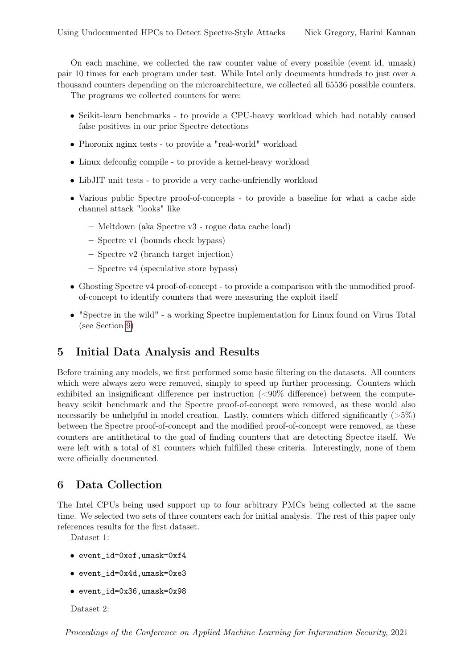On each machine, we collected the raw counter value of every possible (event id, umask) pair 10 times for each program under test. While Intel only documents hundreds to just over a thousand counters depending on the microarchitecture, we collected all 65536 possible counters.

The programs we collected counters for were:

- Scikit-learn benchmarks to provide a CPU-heavy workload which had notably caused false positives in our prior Spectre detections
- Phoronix nginx tests to provide a "real-world" workload
- Linux defconfig compile to provide a kernel-heavy workload
- LibJIT unit tests to provide a very cache-unfriendly workload
- Various public Spectre proof-of-concepts to provide a baseline for what a cache side channel attack "looks" like
	- Meltdown (aka Spectre v3 rogue data cache load)
	- Spectre v1 (bounds check bypass)
	- Spectre v2 (branch target injection)
	- Spectre v4 (speculative store bypass)
- Ghosting Spectre v4 proof-of-concept to provide a comparison with the unmodified proofof-concept to identify counters that were measuring the exploit itself
- "Spectre in the wild" a working Spectre implementation for Linux found on Virus Total (see Section [9\)](#page-4-0)

# 5 Initial Data Analysis and Results

Before training any models, we first performed some basic filtering on the datasets. All counters which were always zero were removed, simply to speed up further processing. Counters which exhibited an insignificant difference per instruction (<90% difference) between the computeheavy scikit benchmark and the Spectre proof-of-concept were removed, as these would also necessarily be unhelpful in model creation. Lastly, counters which differed significantly  $(55\%)$ between the Spectre proof-of-concept and the modified proof-of-concept were removed, as these counters are antithetical to the goal of finding counters that are detecting Spectre itself. We were left with a total of 81 counters which fulfilled these criteria. Interestingly, none of them were officially documented.

# 6 Data Collection

The Intel CPUs being used support up to four arbitrary PMCs being collected at the same time. We selected two sets of three counters each for initial analysis. The rest of this paper only references results for the first dataset.

Dataset 1:

- event\_id=0xef,umask=0xf4
- event\_id=0x4d,umask=0xe3
- event\_id=0x36,umask=0x98

Dataset 2: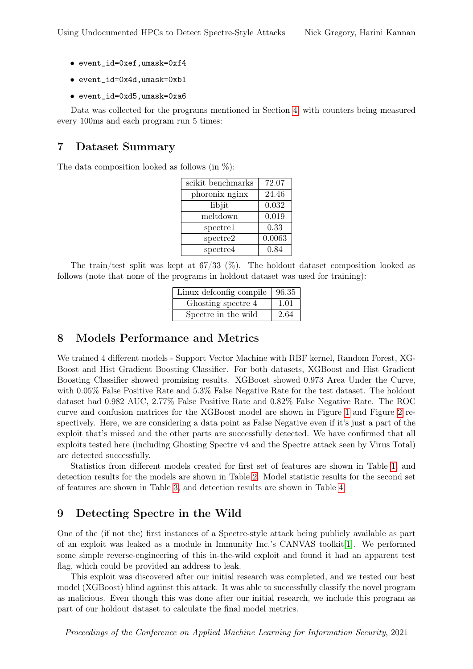- event\_id=0xef,umask=0xf4
- event\_id=0x4d,umask=0xb1
- event\_id=0xd5,umask=0xa6

Data was collected for the programs mentioned in Section [4,](#page-2-0) with counters being measured every 100ms and each program run 5 times:

### 7 Dataset Summary

The data composition looked as follows (in  $\%$ ):

| scikit benchmarks | 72.07  |
|-------------------|--------|
| phoronix nginx    | 24.46  |
| libjit            | 0.032  |
| meltdown          | 0.019  |
| spectrel          | 0.33   |
| spectre2          | 0.0063 |
| spectre4          | 0.84   |

The train/test split was kept at  $67/33$  (%). The holdout dataset composition looked as follows (note that none of the programs in holdout dataset was used for training):

| Linux defconfig compile $\vert$ 96.35 |      |
|---------------------------------------|------|
| Ghosting spectre 4                    | 1.01 |
| Spectre in the wild                   | 2.64 |

### 8 Models Performance and Metrics

We trained 4 different models - Support Vector Machine with RBF kernel, Random Forest, XG-Boost and Hist Gradient Boosting Classifier. For both datasets, XGBoost and Hist Gradient Boosting Classifier showed promising results. XGBoost showed 0.973 Area Under the Curve, with 0.05% False Positive Rate and 5.3% False Negative Rate for the test dataset. The holdout dataset had 0.982 AUC, 2.77% False Positive Rate and 0.82% False Negative Rate. The ROC curve and confusion matrices for the XGBoost model are shown in Figure [1](#page-5-0) and Figure [2](#page-5-1) respectively. Here, we are considering a data point as False Negative even if it's just a part of the exploit that's missed and the other parts are successfully detected. We have confirmed that all exploits tested here (including Ghosting Spectre v4 and the Spectre attack seen by Virus Total) are detected successfully.

Statistics from different models created for first set of features are shown in Table [1,](#page-6-0) and detection results for the models are shown in Table [2.](#page-6-1) Model statistic results for the second set of features are shown in Table [3,](#page-7-6) and detection results are shown in Table [4.](#page-7-7)

### <span id="page-4-0"></span>9 Detecting Spectre in the Wild

One of the (if not the) first instances of a Spectre-style attack being publicly available as part of an exploit was leaked as a module in Immunity Inc.'s CANVAS toolkit[\[1\]](#page-7-8). We performed some simple reverse-engineering of this in-the-wild exploit and found it had an apparent test flag, which could be provided an address to leak.

This exploit was discovered after our initial research was completed, and we tested our best model (XGBoost) blind against this attack. It was able to successfully classify the novel program as malicious. Even though this was done after our initial research, we include this program as part of our holdout dataset to calculate the final model metrics.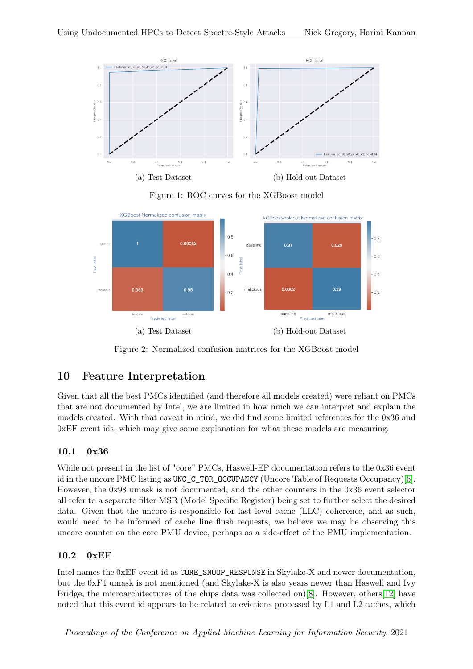<span id="page-5-0"></span>

Figure 1: ROC curves for the XGBoost model

<span id="page-5-1"></span>

Figure 2: Normalized confusion matrices for the XGBoost model

# 10 Feature Interpretation

Given that all the best PMCs identified (and therefore all models created) were reliant on PMCs that are not documented by Intel, we are limited in how much we can interpret and explain the models created. With that caveat in mind, we did find some limited references for the 0x36 and 0xEF event ids, which may give some explanation for what these models are measuring.

# 10.1 0x36

While not present in the list of "core" PMCs, Haswell-EP documentation refers to the 0x36 event id in the uncore PMC listing as UNC\_C\_TOR\_OCCUPANCY (Uncore Table of Requests Occupancy)[\[6\]](#page-7-1). However, the 0x98 umask is not documented, and the other counters in the 0x36 event selector all refer to a separate filter MSR (Model Specific Register) being set to further select the desired data. Given that the uncore is responsible for last level cache (LLC) coherence, and as such, would need to be informed of cache line flush requests, we believe we may be observing this uncore counter on the core PMU device, perhaps as a side-effect of the PMU implementation.

# 10.2 0xEF

Intel names the 0xEF event id as CORE\_SNOOP\_RESPONSE in Skylake-X and newer documentation, but the 0xF4 umask is not mentioned (and Skylake-X is also years newer than Haswell and Ivy Bridge, the microarchitectures of the chips data was collected on)[\[8\]](#page-8-2). However, others[\[12\]](#page-8-3) have noted that this event id appears to be related to evictions processed by L1 and L2 caches, which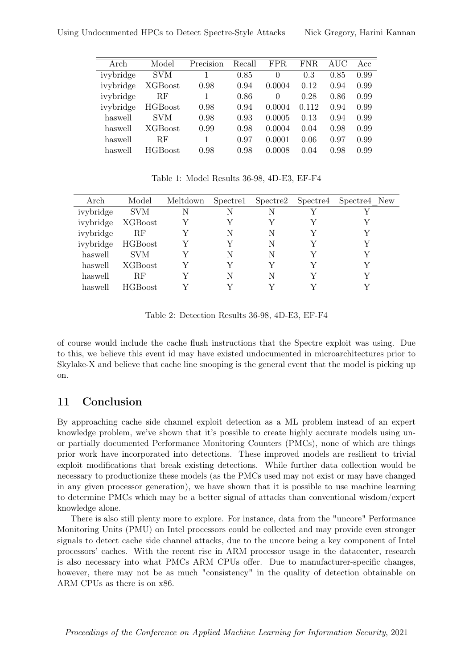<span id="page-6-0"></span>

| Arch      | Model          | Precision | Recall | FPR      | FNR   | AUC  | Acc  |
|-----------|----------------|-----------|--------|----------|-------|------|------|
| ivybridge | SVM            |           | 0.85   | $\theta$ | 0.3   | 0.85 | 0.99 |
| ivybridge | <b>XGBoost</b> | 0.98      | 0.94   | 0.0004   | 0.12  | 0.94 | 0.99 |
| ivybridge | RF             |           | 0.86   | 0        | 0.28  | 0.86 | 0.99 |
| ivybridge | <b>HGBoost</b> | 0.98      | 0.94   | 0.0004   | 0.112 | 0.94 | 0.99 |
| haswell   | <b>SVM</b>     | 0.98      | 0.93   | 0.0005   | 0.13  | 0.94 | 0.99 |
| haswell   | <b>XGBoost</b> | 0.99      | 0.98   | 0.0004   | 0.04  | 0.98 | 0.99 |
| haswell   | ВF             |           | 0.97   | 0.0001   | 0.06  | 0.97 | 0.99 |
| haswell   | <b>HGBoost</b> | 0.98      | 0.98   | 0.0008   | 0.04  | 0.98 | 0.99 |
|           |                |           |        |          |       |      |      |

Table 1: Model Results 36-98, 4D-E3, EF-F4

<span id="page-6-1"></span>

| Arch              | Model          | Meltdown |   |   | Spectre1 Spectre2 Spectre4 Spectre4 New |
|-------------------|----------------|----------|---|---|-----------------------------------------|
| ivybridge SVM     |                | N        | N | N |                                         |
| ivybridge XGBoost |                |          |   |   |                                         |
| ivybridge         | RF             |          | N | N |                                         |
| ivybridge HGBoost |                |          |   | N |                                         |
| haswell           | <b>SVM</b>     |          | N | N |                                         |
| haswell           | XGBoost        |          |   |   |                                         |
| haswell           | <b>RF</b>      |          | N | N |                                         |
| haswell           | <b>HGBoost</b> |          |   |   |                                         |

Table 2: Detection Results 36-98, 4D-E3, EF-F4

of course would include the cache flush instructions that the Spectre exploit was using. Due to this, we believe this event id may have existed undocumented in microarchitectures prior to Skylake-X and believe that cache line snooping is the general event that the model is picking up on.

# 11 Conclusion

By approaching cache side channel exploit detection as a ML problem instead of an expert knowledge problem, we've shown that it's possible to create highly accurate models using unor partially documented Performance Monitoring Counters (PMCs), none of which are things prior work have incorporated into detections. These improved models are resilient to trivial exploit modifications that break existing detections. While further data collection would be necessary to productionize these models (as the PMCs used may not exist or may have changed in any given processor generation), we have shown that it is possible to use machine learning to determine PMCs which may be a better signal of attacks than conventional wisdom/expert knowledge alone.

There is also still plenty more to explore. For instance, data from the "uncore" Performance Monitoring Units (PMU) on Intel processors could be collected and may provide even stronger signals to detect cache side channel attacks, due to the uncore being a key component of Intel processors' caches. With the recent rise in ARM processor usage in the datacenter, research is also necessary into what PMCs ARM CPUs offer. Due to manufacturer-specific changes, however, there may not be as much "consistency" in the quality of detection obtainable on ARM CPUs as there is on x86.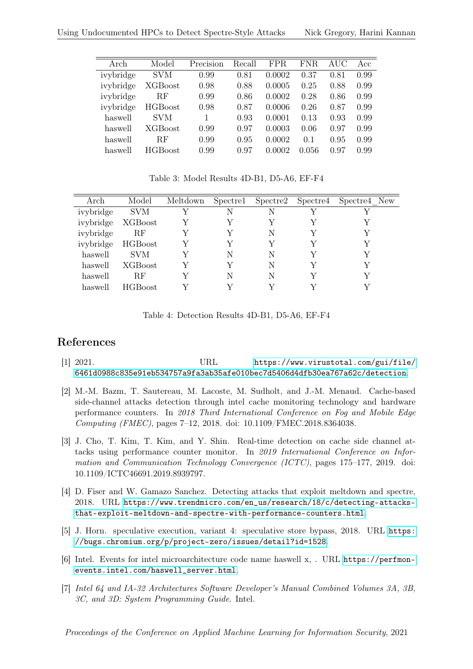<span id="page-7-6"></span>

| Arch      | Model          | Precision | Recall | FPR    | FNR.  | AUC  | Acc  |
|-----------|----------------|-----------|--------|--------|-------|------|------|
| ivybridge | SVM            | 0.99      | 0.81   | 0.0002 | 0.37  | 0.81 | 0.99 |
| ivybridge | XGBoost        | 0.98      | 0.88   | 0.0005 | 0.25  | 0.88 | 0.99 |
| ivybridge | RF             | 0.99      | 0.86   | 0.0002 | 0.28  | 0.86 | 0.99 |
| ivybridge | <b>HGBoost</b> | 0.98      | 0.87   | 0.0006 | 0.26  | 0.87 | 0.99 |
| haswell   | <b>SVM</b>     |           | 0.93   | 0.0001 | 0.13  | 0.93 | 0.99 |
| haswell   | <b>XGBoost</b> | 0.99      | 0.97   | 0.0003 | 0.06  | 0.97 | 0.99 |
| haswell   | RF             | 0.99      | 0.95   | 0.0002 | 0.1   | 0.95 | 0.99 |
| haswell   | <b>HGBoost</b> | 0.99      | 0.97   | 0.0002 | 0.056 | 0.97 | 0.99 |
|           |                |           |        |        |       |      |      |

Table 3: Model Results 4D-B1, D5-A6, EF-F4

<span id="page-7-7"></span>

| Arch              | Model             | Meltdown |   | Spectre1 Spectre2 Spectre4 | Spectre4 New |
|-------------------|-------------------|----------|---|----------------------------|--------------|
| ivybridge         | <b>SVM</b>        |          | N | N                          |              |
| ivybridge XGBoost |                   |          |   |                            |              |
| ivybridge         | RF                |          | V | N                          |              |
|                   | ivybridge HGBoost |          |   |                            |              |
| haswell           | SVM               |          | N | N                          |              |
| haswell           | XGBoost           |          |   | N                          |              |
| haswell           | RF                |          | N | N                          |              |
| haswell           | <b>HGBoost</b>    |          |   |                            |              |

Table 4: Detection Results 4D-B1, D5-A6, EF-F4

# References

- <span id="page-7-8"></span>[1] 2021. URL [https://www.virustotal.com/gui/file/](https://www.virustotal.com/gui/file/6461d0988c835e91eb534757a9fa3ab35afe010bec7d5406d4dfb30ea767a62c/detection) [6461d0988c835e91eb534757a9fa3ab35afe010bec7d5406d4dfb30ea767a62c/detection](https://www.virustotal.com/gui/file/6461d0988c835e91eb534757a9fa3ab35afe010bec7d5406d4dfb30ea767a62c/detection).
- <span id="page-7-4"></span>[2] M.-M. Bazm, T. Sautereau, M. Lacoste, M. Sudholt, and J.-M. Menaud. Cache-based side-channel attacks detection through intel cache monitoring technology and hardware performance counters. In 2018 Third International Conference on Fog and Mobile Edge Computing (FMEC), pages 7–12, 2018. doi: 10.1109/FMEC.2018.8364038.
- <span id="page-7-2"></span>[3] J. Cho, T. Kim, T. Kim, and Y. Shin. Real-time detection on cache side channel attacks using performance counter monitor. In 2019 International Conference on Information and Communication Technology Convergence (ICTC), pages 175–177, 2019. doi: 10.1109/ICTC46691.2019.8939797.
- <span id="page-7-3"></span>[4] D. Fiser and W. Gamazo Sanchez. Detecting attacks that exploit meltdown and spectre, 2018. URL [https://www.trendmicro.com/en\\_us/research/18/c/detecting-attacks](https://www.trendmicro.com/en_us/research/18/c/detecting-attacks-that-exploit-meltdown-and-spectre-with-performance-counters.html)[that-exploit-meltdown-and-spectre-with-performance-counters.html](https://www.trendmicro.com/en_us/research/18/c/detecting-attacks-that-exploit-meltdown-and-spectre-with-performance-counters.html).
- <span id="page-7-5"></span>[5] J. Horn. speculative execution, variant 4: speculative store bypass, 2018. URL [https:](https://bugs.chromium.org/p/project-zero/issues/detail?id=1528) [//bugs.chromium.org/p/project-zero/issues/detail?id=1528](https://bugs.chromium.org/p/project-zero/issues/detail?id=1528).
- <span id="page-7-1"></span>[6] Intel. Events for intel microarchitecture code name haswell x, . URL [https://perfmon](https://perfmon-events.intel.com/haswell_server.html)[events.intel.com/haswell\\_server.html](https://perfmon-events.intel.com/haswell_server.html).
- <span id="page-7-0"></span>[7] Intel 64 and IA-32 Architectures Software Developer's Manual Combined Volumes 3A, 3B, 3C, and 3D: System Programming Guide. Intel.